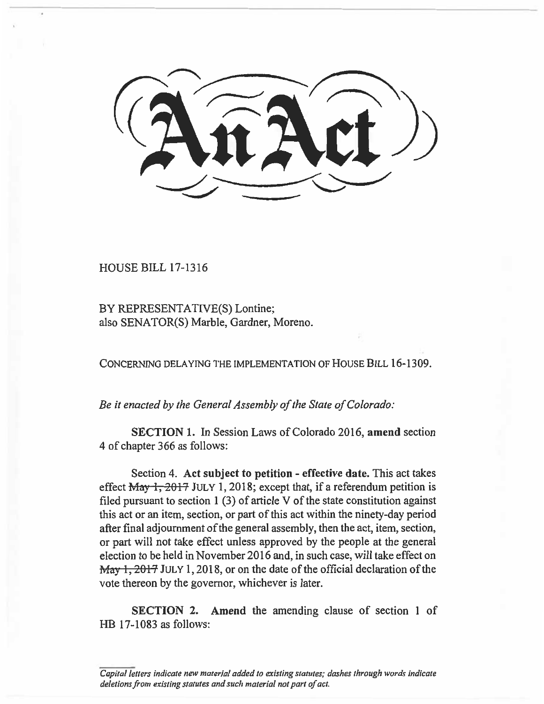$\frac{1}{2}$  $\overline{\phantom{a}}$ 

HOUSE BILL 17-1316

BY REPRESENTATIVE(S) Lontine; also SENATOR(S) Marble, Gardner, Moreno.

**CONCERNING DELAYING THE IMPLEMENTATION OF HOUSE BILL** 16-1309.

*Be it enacted by the General Assembly of the State of Colorado:* 

**SECTION I.** In Session Laws of Colorado 2016, **amend** section 4 of chapter 366 as follows:

Section **4. Act subject to petition - effective date.** This act takes effect May 1, 2017 **JULY 1,** 2018; except that, if a referendum petition is filed pursuant to section  $1(3)$  of article V of the state constitution against this act or an item, section, or part of this act within the ninety-day period after final adjournment of the general assembly, then the act, item, section, or part will not take effect unless approved by the people at the general election to be held in November 2016 and, in such case, will take effect on **May 1, 2017** JULY 1, 2018, or on the date of the official declaration of the vote thereon by the governor, whichever is later.

**SECTION 2. Amend** the amending clause of section **1** of HB 17-1083 as follows:

*Capital letters indicate new material added to existing statutes; dashes through words indicate deletions from existing statutes and such material not part of act.*